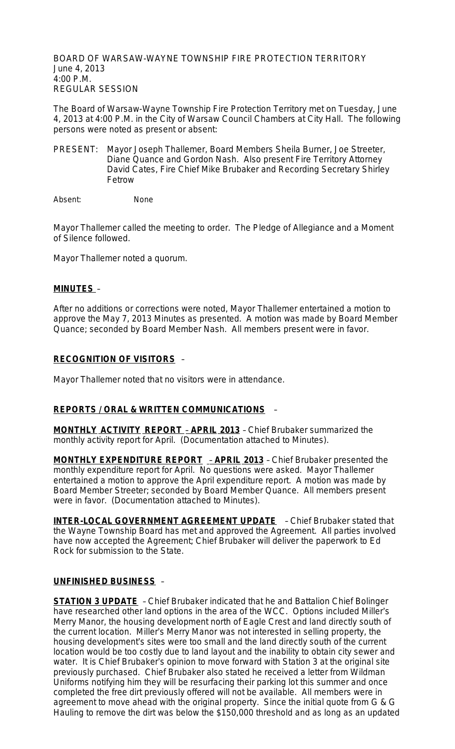BOARD OF WARSAW-WAYNE TOWNSHIP FIRE PROTECTION TERRITORY June 4, 2013 4:00 P.M. REGULAR SESSION

The Board of Warsaw-Wayne Township Fire Protection Territory met on Tuesday, June 4, 2013 at 4:00 P.M. in the City of Warsaw Council Chambers at City Hall. The following persons were noted as present or absent:

PRESENT: Mayor Joseph Thallemer, Board Members Sheila Burner, Joe Streeter, Diane Quance and Gordon Nash. Also present Fire Territory Attorney David Cates, Fire Chief Mike Brubaker and Recording Secretary Shirley Fetrow

Absent: None

Mayor Thallemer called the meeting to order. The Pledge of Allegiance and a Moment of Silence followed.

Mayor Thallemer noted a quorum.

### **MINUTES** –

After no additions or corrections were noted, Mayor Thallemer entertained a motion to approve the May 7, 2013 Minutes as presented. A motion was made by Board Member Quance; seconded by Board Member Nash. All members present were in favor.

### **RECOGNITION OF VISITORS** –

Mayor Thallemer noted that no visitors were in attendance.

### **REPORTS / ORAL & WRITTEN COMMUNICATIONS** –

**MONTHLY ACTIVITY REPORT** – **APRIL 2013** – Chief Brubaker summarized the monthly activity report for April. (Documentation attached to Minutes).

**MONTHLY EXPENDITURE REPORT** – **APRIL 2013** – Chief Brubaker presented the monthly expenditure report for April. No questions were asked. Mayor Thallemer entertained a motion to approve the April expenditure report. A motion was made by Board Member Streeter; seconded by Board Member Quance. All members present were in favor. (Documentation attached to Minutes).

**INTER-LOCAL GOVERNMENT AGREEMENT UPDATE** – Chief Brubaker stated that the Wayne Township Board has met and approved the Agreement. All parties involved have now accepted the Agreement; Chief Brubaker will deliver the paperwork to Ed Rock for submission to the State.

### **UNFINISHED BUSINESS** –

**STATION 3 UPDATE** – Chief Brubaker indicated that he and Battalion Chief Bolinger have researched other land options in the area of the WCC. Options included Miller's Merry Manor, the housing development north of Eagle Crest and land directly south of the current location. Miller's Merry Manor was not interested in selling property, the housing development's sites were too small and the land directly south of the current location would be too costly due to land layout and the inability to obtain city sewer and water. It is Chief Brubaker's opinion to move forward with Station 3 at the original site previously purchased. Chief Brubaker also stated he received a letter from Wildman Uniforms notifying him they will be resurfacing their parking lot this summer and once completed the free dirt previously offered will not be available. All members were in agreement to move ahead with the original property. Since the initial quote from G & G Hauling to remove the dirt was below the \$150,000 threshold and as long as an updated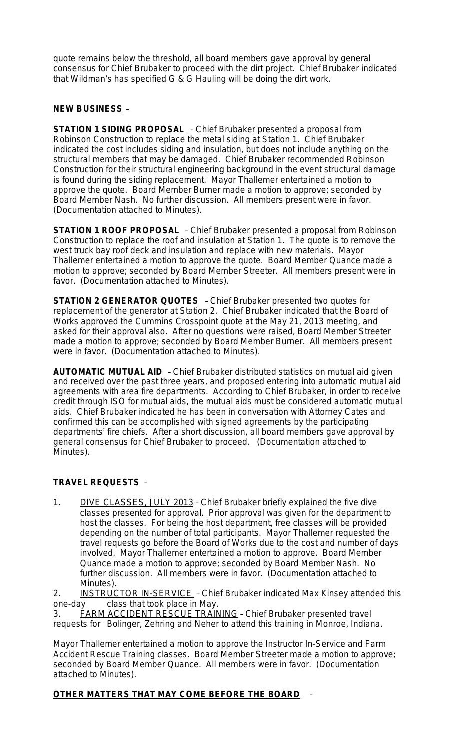quote remains below the threshold, all board members gave approval by general consensus for Chief Brubaker to proceed with the dirt project. Chief Brubaker indicated that Wildman's has specified G & G Hauling will be doing the dirt work.

## **NEW BUSINESS** –

**STATION 1 SIDING PROPOSAL** – Chief Brubaker presented a proposal from Robinson Construction to replace the metal siding at Station 1. Chief Brubaker indicated the cost includes siding and insulation, but does not include anything on the structural members that may be damaged. Chief Brubaker recommended Robinson Construction for their structural engineering background in the event structural damage is found during the siding replacement. Mayor Thallemer entertained a motion to approve the quote. Board Member Burner made a motion to approve; seconded by Board Member Nash. No further discussion. All members present were in favor. (Documentation attached to Minutes).

**STATION 1 ROOF PROPOSAL** – Chief Brubaker presented a proposal from Robinson Construction to replace the roof and insulation at Station 1. The quote is to remove the west truck bay roof deck and insulation and replace with new materials. Mayor Thallemer entertained a motion to approve the quote. Board Member Quance made a motion to approve; seconded by Board Member Streeter. All members present were in favor. (Documentation attached to Minutes).

**STATION 2 GENERATOR QUOTES** – Chief Brubaker presented two quotes for replacement of the generator at Station 2. Chief Brubaker indicated that the Board of Works approved the Cummins Crosspoint quote at the May 21, 2013 meeting, and asked for their approval also. After no questions were raised, Board Member Streeter made a motion to approve; seconded by Board Member Burner. All members present were in favor. (Documentation attached to Minutes).

**AUTOMATIC MUTUAL AID** - Chief Brubaker distributed statistics on mutual aid given and received over the past three years, and proposed entering into automatic mutual aid agreements with area fire departments. According to Chief Brubaker, in order to receive credit through ISO for mutual aids, the mutual aids must be considered automatic mutual aids. Chief Brubaker indicated he has been in conversation with Attorney Cates and confirmed this can be accomplished with signed agreements by the participating departments' fire chiefs. After a short discussion, all board members gave approval by general consensus for Chief Brubaker to proceed. (Documentation attached to Minutes).

# **TRAVEL REQUESTS** –

1. DIVE CLASSES, JULY 2013 - Chief Brubaker briefly explained the five dive classes presented for approval. Prior approval was given for the department to host the classes. For being the host department, free classes will be provided depending on the number of total participants. Mayor Thallemer requested the travel requests go before the Board of Works due to the cost and number of days involved. Mayor Thallemer entertained a motion to approve. Board Member Quance made a motion to approve; seconded by Board Member Nash. No further discussion. All members were in favor. (Documentation attached to Minutes).

2. **INSTRUCTOR IN-SERVICE** - Chief Brubaker indicated Max Kinsey attended this one-day class that took place in May.

3. FARM ACCIDENT RESCUE TRAINING – Chief Brubaker presented travel requests for Bolinger, Zehring and Neher to attend this training in Monroe, Indiana.

Mayor Thallemer entertained a motion to approve the Instructor In-Service and Farm Accident Rescue Training classes. Board Member Streeter made a motion to approve; seconded by Board Member Quance. All members were in favor. (Documentation attached to Minutes).

# **OTHER MATTERS THAT MAY COME BEFORE THE BOARD** –